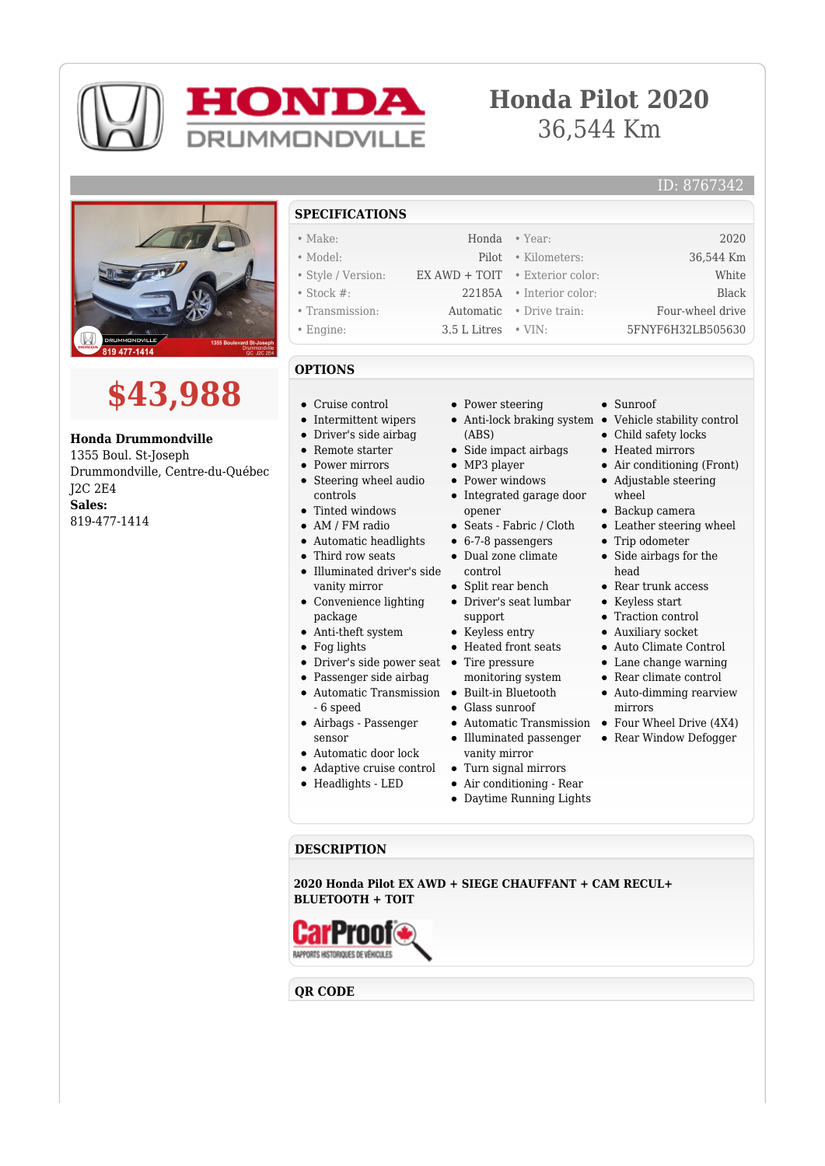

# **Honda Pilot 2020** 36,544 Km

### ID: 8767342





**Honda Drummondville** 1355 Boul. St-Joseph Drummondville, Centre-du-Québec J2C 2E4 **Sales:** 819-477-1414

## **SPECIFICATIONS**

- Make: Honda Year: 2020
- Model: Pilot Kilometers: 36,544 Km • Style / Version: EX AWD + TOIT • Exterior color: White
- Stock #: 22185A Interior color: Black
- Transmission: Automatic Drive train: Four-wheel drive
- Engine: 3.5 L Litres VIN: 5FNYF6H32LB505630
- 

## **OPTIONS**

- Cruise control
- Intermittent wipers
- Driver's side airbag
- Remote starter
- Power mirrors
- Steering wheel audio controls
- $\bullet$
- AM / FM radio
- Automatic headlights • Third row seats
- Illuminated driver's side
- vanity mirror
- Convenience lighting package
- Anti-theft system
- Fog lights
- Driver's side power seat Tire pressure
- Passenger side airbag
- Automatic Transmission Built-in Bluetooth - 6 speed
- Airbags Passenger
- sensor
- Automatic door lock
- Adaptive cruise control
- Headlights LED
- Power steering
- Anti-lock braking system Vehicle stability control (ABS)
- $\bullet$  Side impact airbags
- 
- Integrated garage door
- opener Seats - Fabric / Cloth
- $6-7-8$  passengers
- Dual zone climate
- control • Split rear bench
- Driver's seat lumbar support
- Keyless entry
- Heated front seats
- 
- monitoring system
- 
- Glass sunroof
- 
- Illuminated passenger vanity mirror
- Turn signal mirrors
- Air conditioning Rear
- 

#### **DESCRIPTION**

**2020 Honda Pilot EX AWD + SIEGE CHAUFFANT + CAM RECUL+ BLUETOOTH + TOIT**



**QR CODE**

- 
- - - Daytime Running Lights
- Sunroof
- Child safety locks Heated mirrors
- 
- Air conditioning (Front)
- Adjustable steering
- wheel
- Backup camera
- Leather steering wheel • Trip odometer
- 
- Side airbags for the head
- Rear trunk access
- Keyless start
- Traction control
- Auxiliary socket
- Auto Climate Control
- Lane change warning
- Rear climate control
- Auto-dimming rearview mirrors
- Automatic Transmission Four Wheel Drive (4X4)
	- Rear Window Defogger
- 
- 
- MP3 player • Power windows
- Tinted windows